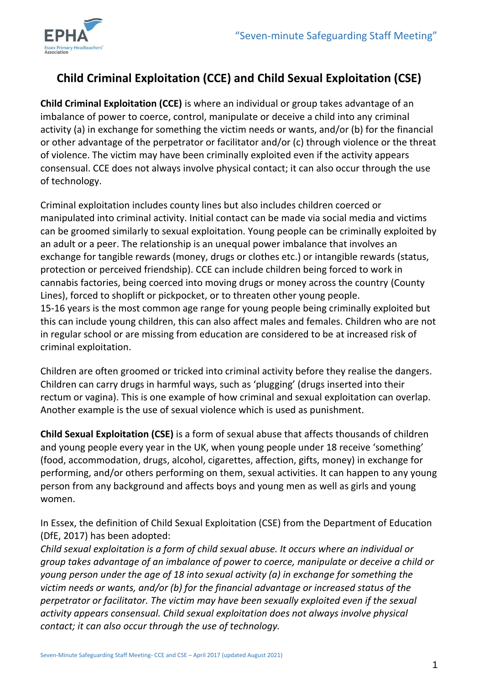

# **Child Criminal Exploitation (CCE) and Child Sexual Exploitation (CSE)**

**Child Criminal Exploitation (CCE)** is where an individual or group takes advantage of an imbalance of power to coerce, control, manipulate or deceive a child into any criminal activity (a) in exchange for something the victim needs or wants, and/or (b) for the financial or other advantage of the perpetrator or facilitator and/or (c) through violence or the threat of violence. The victim may have been criminally exploited even if the activity appears consensual. CCE does not always involve physical contact; it can also occur through the use of technology.

Criminal exploitation includes county lines but also includes children coerced or manipulated into criminal activity. Initial contact can be made via social media and victims can be groomed similarly to sexual exploitation. Young people can be criminally exploited by an adult or a peer. The relationship is an unequal power imbalance that involves an exchange for tangible rewards (money, drugs or clothes etc.) or intangible rewards (status, protection or perceived friendship). CCE can include children being forced to work in cannabis factories, being coerced into moving drugs or money across the country (County Lines), forced to shoplift or pickpocket, or to threaten other young people. 15-16 years is the most common age range for young people being criminally exploited but this can include young children, this can also affect males and females. Children who are not in regular school or are missing from education are considered to be at increased risk of criminal exploitation.

Children are often groomed or tricked into criminal activity before they realise the dangers. Children can carry drugs in harmful ways, such as 'plugging' (drugs inserted into their rectum or vagina). This is one example of how criminal and sexual exploitation can overlap. Another example is the use of sexual violence which is used as punishment.

**Child Sexual Exploitation (CSE)** is a form of sexual abuse that affects thousands of children and young people every year in the UK, when young people under 18 receive 'something' (food, accommodation, drugs, alcohol, cigarettes, affection, gifts, money) in exchange for performing, and/or others performing on them, sexual activities. It can happen to any young person from any background and affects boys and young men as well as girls and young women.

In Essex, the definition of Child Sexual Exploitation (CSE) from the Department of Education (DfE, 2017) has been adopted:

*Child sexual exploitation is a form of child sexual abuse. It occurs where an individual or group takes advantage of an imbalance of power to coerce, manipulate or deceive a child or young person under the age of 18 into sexual activity (a) in exchange for something the victim needs or wants, and/or (b) for the financial advantage or increased status of the perpetrator or facilitator. The victim may have been sexually exploited even if the sexual activity appears consensual. Child sexual exploitation does not always involve physical contact; it can also occur through the use of technology.*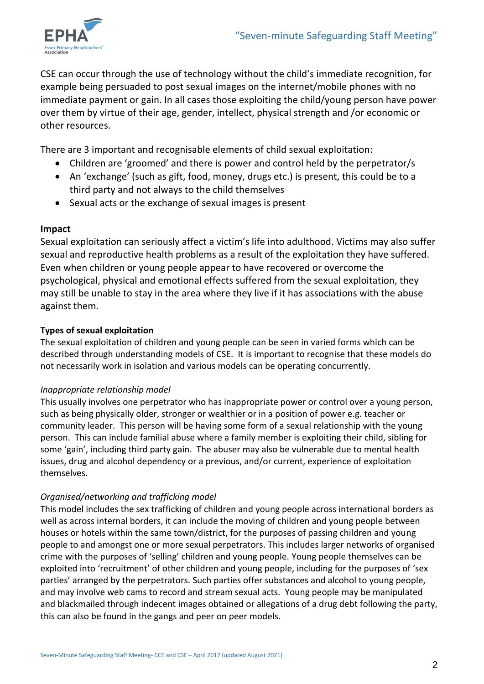

CSE can occur through the use of technology without the child's immediate recognition, for example being persuaded to post sexual images on the internet/mobile phones with no immediate payment or gain. In all cases those exploiting the child/young person have power over them by virtue of their age, gender, intellect, physical strength and /or economic or other resources.

There are 3 important and recognisable elements of child sexual exploitation:

- Children are 'groomed' and there is power and control held by the perpetrator/s
- An 'exchange' (such as gift, food, money, drugs etc.) is present, this could be to a third party and not always to the child themselves
- Sexual acts or the exchange of sexual images is present

# **Impact**

Sexual exploitation can seriously affect a victim's life into adulthood. Victims may also suffer sexual and reproductive health problems as a result of the exploitation they have suffered. Even when children or young people appear to have recovered or overcome the psychological, physical and emotional effects suffered from the sexual exploitation, they may still be unable to stay in the area where they live if it has associations with the abuse against them.

# **Types of sexual exploitation**

The sexual exploitation of children and young people can be seen in varied forms which can be described through understanding models of CSE. It is important to recognise that these models do not necessarily work in isolation and various models can be operating concurrently.

# *Inappropriate relationship model*

This usually involves one perpetrator who has inappropriate power or control over a young person, such as being physically older, stronger or wealthier or in a position of power e.g. teacher or community leader. This person will be having some form of a sexual relationship with the young person. This can include familial abuse where a family member is exploiting their child, sibling for some 'gain', including third party gain. The abuser may also be vulnerable due to mental health issues, drug and alcohol dependency or a previous, and/or current, experience of exploitation themselves.

# *Organised/networking and trafficking model*

This model includes the sex trafficking of children and young people across international borders as well as across internal borders, it can include the moving of children and young people between houses or hotels within the same town/district, for the purposes of passing children and young people to and amongst one or more sexual perpetrators. This includes larger networks of organised crime with the purposes of 'selling' children and young people. Young people themselves can be exploited into 'recruitment' of other children and young people, including for the purposes of 'sex parties' arranged by the perpetrators. Such parties offer substances and alcohol to young people, and may involve web cams to record and stream sexual acts. Young people may be manipulated and blackmailed through indecent images obtained or allegations of a drug debt following the party, this can also be found in the gangs and peer on peer models.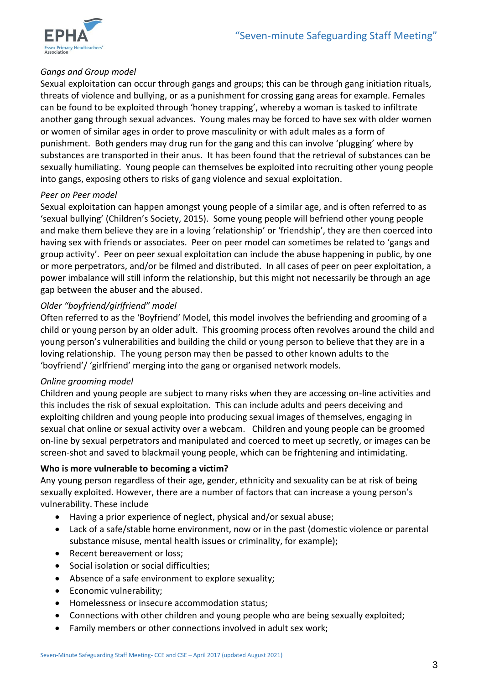

# *Gangs and Group model*

Sexual exploitation can occur through gangs and groups; this can be through gang initiation rituals, threats of violence and bullying, or as a punishment for crossing gang areas for example. Females can be found to be exploited through 'honey trapping', whereby a woman is tasked to infiltrate another gang through sexual advances. Young males may be forced to have sex with older women or women of similar ages in order to prove masculinity or with adult males as a form of punishment. Both genders may drug run for the gang and this can involve 'plugging' where by substances are transported in their anus. It has been found that the retrieval of substances can be sexually humiliating. Young people can themselves be exploited into recruiting other young people into gangs, exposing others to risks of gang violence and sexual exploitation.

#### *Peer on Peer model*

Sexual exploitation can happen amongst young people of a similar age, and is often referred to as 'sexual bullying' (Children's Society, 2015). Some young people will befriend other young people and make them believe they are in a loving 'relationship' or 'friendship', they are then coerced into having sex with friends or associates. Peer on peer model can sometimes be related to 'gangs and group activity'. Peer on peer sexual exploitation can include the abuse happening in public, by one or more perpetrators, and/or be filmed and distributed. In all cases of peer on peer exploitation, a power imbalance will still inform the relationship, but this might not necessarily be through an age gap between the abuser and the abused.

# *Older "boyfriend/girlfriend" model*

Often referred to as the 'Boyfriend' Model, this model involves the befriending and grooming of a child or young person by an older adult. This grooming process often revolves around the child and young person's vulnerabilities and building the child or young person to believe that they are in a loving relationship. The young person may then be passed to other known adults to the 'boyfriend'/ 'girlfriend' merging into the gang or organised network models.

# *Online grooming model*

Children and young people are subject to many risks when they are accessing on-line activities and this includes the risk of sexual exploitation. This can include adults and peers deceiving and exploiting children and young people into producing sexual images of themselves, engaging in sexual chat online or sexual activity over a webcam. Children and young people can be groomed on-line by sexual perpetrators and manipulated and coerced to meet up secretly, or images can be screen-shot and saved to blackmail young people, which can be frightening and intimidating.

#### **Who is more vulnerable to becoming a victim?**

Any young person regardless of their age, gender, ethnicity and sexuality can be at risk of being sexually exploited. However, there are a number of factors that can increase a young person's vulnerability. These include

- Having a prior experience of neglect, physical and/or sexual abuse;
- Lack of a safe/stable home environment, now or in the past (domestic violence or parental substance misuse, mental health issues or criminality, for example);
- Recent bereavement or loss;
- Social isolation or social difficulties;
- Absence of a safe environment to explore sexuality;
- Economic vulnerability;
- Homelessness or insecure accommodation status;
- Connections with other children and young people who are being sexually exploited;
- Family members or other connections involved in adult sex work;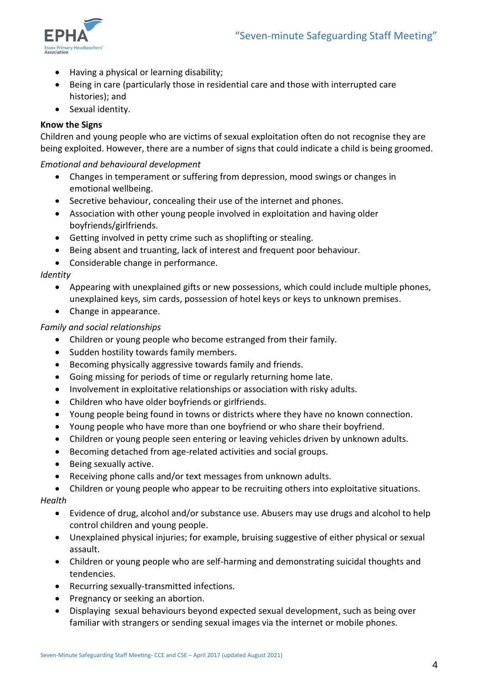

- Having a physical or learning disability;
- Being in care (particularly those in residential care and those with interrupted care histories); and
- Sexual identity.

# **Know the Signs**

Children and young people who are victims of sexual exploitation often do not recognise they are being exploited. However, there are a number of signs that could indicate a child is being groomed.

#### *Emotional and behavioural development*

- Changes in temperament or suffering from depression, mood swings or changes in emotional wellbeing.
- Secretive behaviour, concealing their use of the internet and phones.
- Association with other young people involved in exploitation and having older boyfriends/girlfriends.
- Getting involved in petty crime such as shoplifting or stealing.
- Being absent and truanting, lack of interest and frequent poor behaviour.
- Considerable change in performance.

# *Identity*

- Appearing with unexplained gifts or new possessions, which could include multiple phones, unexplained keys, sim cards, possession of hotel keys or keys to unknown premises.
- Change in appearance.

#### *Family and social relationships*

- Children or young people who become estranged from their family.
- Sudden hostility towards family members.
- Becoming physically aggressive towards family and friends.
- Going missing for periods of time or regularly returning home late.
- Involvement in exploitative relationships or association with risky adults.
- Children who have older boyfriends or girlfriends.
- Young people being found in towns or districts where they have no known connection.
- Young people who have more than one boyfriend or who share their boyfriend.
- Children or young people seen entering or leaving vehicles driven by unknown adults.
- Becoming detached from age-related activities and social groups.
- Being sexually active.
- Receiving phone calls and/or text messages from unknown adults.
- Children or young people who appear to be recruiting others into exploitative situations.

#### *Health*

- Evidence of drug, alcohol and/or substance use. Abusers may use drugs and alcohol to help control children and young people.
- Unexplained physical injuries; for example, bruising suggestive of either physical or sexual assault.
- Children or young people who are self-harming and demonstrating suicidal thoughts and tendencies.
- Recurring sexually-transmitted infections.
- Pregnancy or seeking an abortion.
- Displaying sexual behaviours beyond expected sexual development, such as being over familiar with strangers or sending sexual images via the internet or mobile phones.